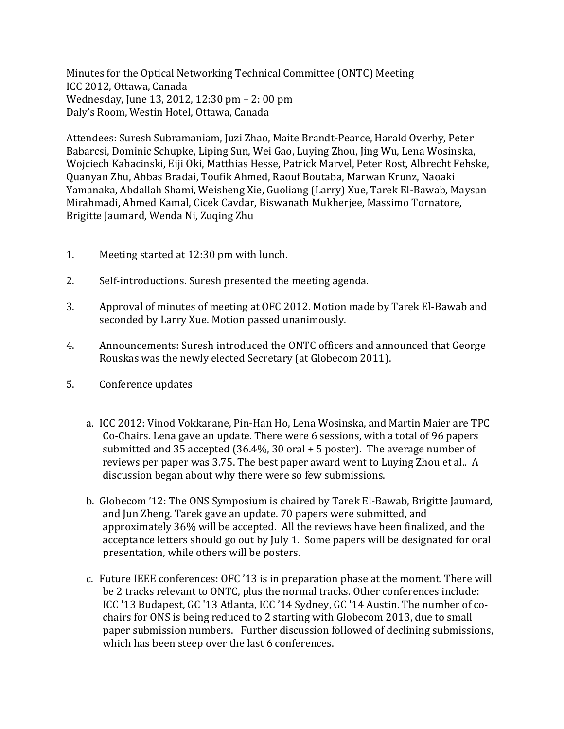Minutes for the Optical Networking Technical Committee (ONTC) Meeting ICC 2012, Ottawa, Canada Wednesday, June 13, 2012, 12:30 pm - 2: 00 pm Daly's Room, Westin Hotel, Ottawa, Canada

Attendees: Suresh Subramaniam, Juzi Zhao, Maite Brandt-Pearce, Harald Overby, Peter Babarcsi, Dominic Schupke, Liping Sun, Wei Gao, Luying Zhou, Jing Wu, Lena Wosinska, Wojciech Kabacinski, Eiji Oki, Matthias Hesse, Patrick Marvel, Peter Rost, Albrecht Fehske, Quanyan Zhu, Abbas Bradai, Toufik Ahmed, Raouf Boutaba, Marwan Krunz, Naoaki Yamanaka, Abdallah Shami, Weisheng Xie, Guoliang (Larry) Xue, Tarek El-Bawab, Maysan Mirahmadi, Ahmed Kamal, Cicek Cavdar, Biswanath Mukherjee, Massimo Tornatore, Brigitte Jaumard, Wenda Ni, Zuqing Zhu

- 1. Meeting started at  $12:30$  pm with lunch.
- 2. Self-introductions. Suresh presented the meeting agenda.
- 3. Approval of minutes of meeting at OFC 2012. Motion made by Tarek El-Bawab and seconded by Larry Xue. Motion passed unanimously.
- 4. Announcements: Suresh introduced the ONTC officers and announced that George Rouskas was the newly elected Secretary (at Globecom 2011).
- 5. Conference updates
	- a. ICC 2012: Vinod Vokkarane, Pin-Han Ho, Lena Wosinska, and Martin Maier are TPC Co-Chairs. Lena gave an update. There were 6 sessions, with a total of 96 papers submitted and  $35$  accepted  $(36.4\%, 30 \text{ oral} + 5 \text{ poster})$ . The average number of reviews per paper was 3.75. The best paper award went to Luying Zhou et al.. A discussion began about why there were so few submissions.
	- b. Globecom '12: The ONS Symposium is chaired by Tarek El-Bawab, Brigitte Jaumard, and Jun Zheng. Tarek gave an update. 70 papers were submitted, and approximately 36% will be accepted. All the reviews have been finalized, and the acceptance letters should go out by July 1. Some papers will be designated for oral presentation, while others will be posters.
	- c. Future IEEE conferences: OFC '13 is in preparation phase at the moment. There will be 2 tracks relevant to ONTC, plus the normal tracks. Other conferences include: ICC '13 Budapest, GC '13 Atlanta, ICC '14 Sydney, GC '14 Austin. The number of cochairs for ONS is being reduced to 2 starting with Globecom 2013, due to small paper submission numbers. Further discussion followed of declining submissions, which has been steep over the last 6 conferences.